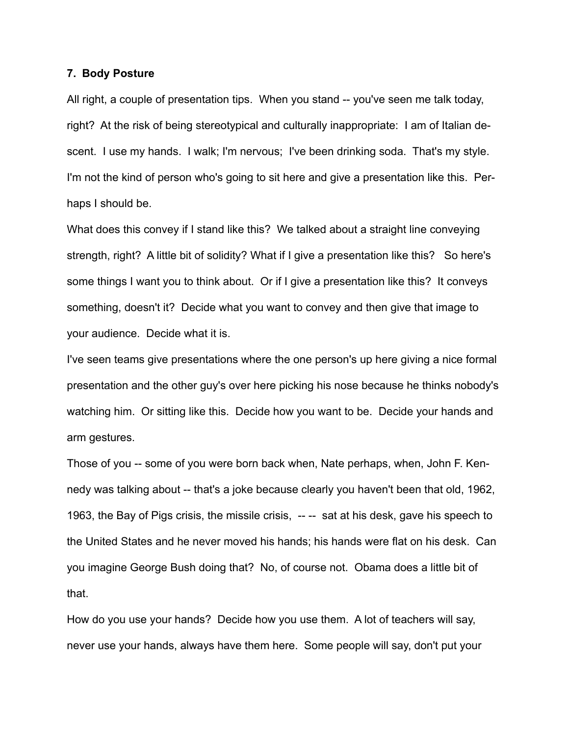## **7. Body Posture**

All right, a couple of presentation tips. When you stand -- you've seen me talk today, right? At the risk of being stereotypical and culturally inappropriate: I am of Italian descent. I use my hands. I walk; I'm nervous; I've been drinking soda. That's my style. I'm not the kind of person who's going to sit here and give a presentation like this. Perhaps I should be.

What does this convey if I stand like this? We talked about a straight line conveying strength, right? A little bit of solidity? What if I give a presentation like this? So here's some things I want you to think about. Or if I give a presentation like this? It conveys something, doesn't it? Decide what you want to convey and then give that image to your audience. Decide what it is.

I've seen teams give presentations where the one person's up here giving a nice formal presentation and the other guy's over here picking his nose because he thinks nobody's watching him. Or sitting like this. Decide how you want to be. Decide your hands and arm gestures.

Those of you -- some of you were born back when, Nate perhaps, when, John F. Kennedy was talking about -- that's a joke because clearly you haven't been that old, 1962, 1963, the Bay of Pigs crisis, the missile crisis, --- sat at his desk, gave his speech to the United States and he never moved his hands; his hands were flat on his desk. Can you imagine George Bush doing that? No, of course not. Obama does a little bit of that.

How do you use your hands? Decide how you use them. A lot of teachers will say, never use your hands, always have them here. Some people will say, don't put your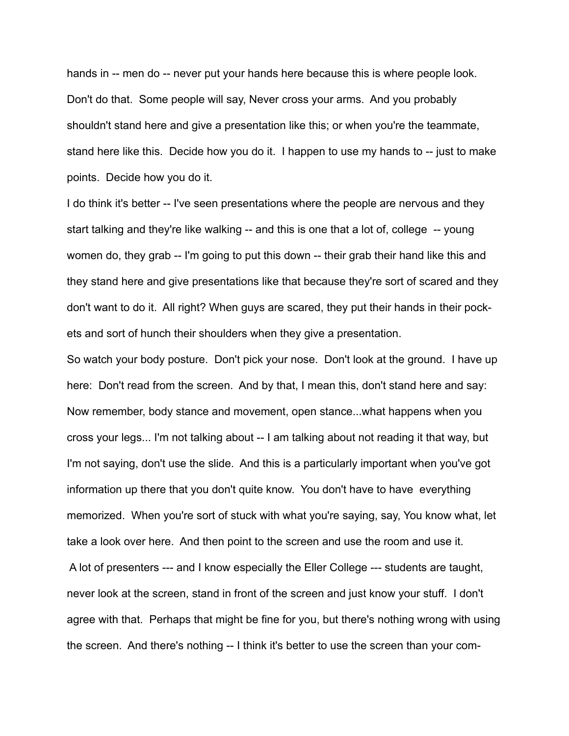hands in -- men do -- never put your hands here because this is where people look. Don't do that. Some people will say, Never cross your arms. And you probably shouldn't stand here and give a presentation like this; or when you're the teammate, stand here like this. Decide how you do it. I happen to use my hands to -- just to make points. Decide how you do it.

I do think it's better -- I've seen presentations where the people are nervous and they start talking and they're like walking -- and this is one that a lot of, college -- young women do, they grab -- I'm going to put this down -- their grab their hand like this and they stand here and give presentations like that because they're sort of scared and they don't want to do it. All right? When guys are scared, they put their hands in their pockets and sort of hunch their shoulders when they give a presentation.

So watch your body posture. Don't pick your nose. Don't look at the ground. I have up here: Don't read from the screen. And by that, I mean this, don't stand here and say: Now remember, body stance and movement, open stance...what happens when you cross your legs... I'm not talking about -- I am talking about not reading it that way, but I'm not saying, don't use the slide. And this is a particularly important when you've got information up there that you don't quite know. You don't have to have everything memorized. When you're sort of stuck with what you're saying, say, You know what, let take a look over here. And then point to the screen and use the room and use it. A lot of presenters --- and I know especially the Eller College --- students are taught, never look at the screen, stand in front of the screen and just know your stuff. I don't agree with that. Perhaps that might be fine for you, but there's nothing wrong with using the screen. And there's nothing -- I think it's better to use the screen than your com